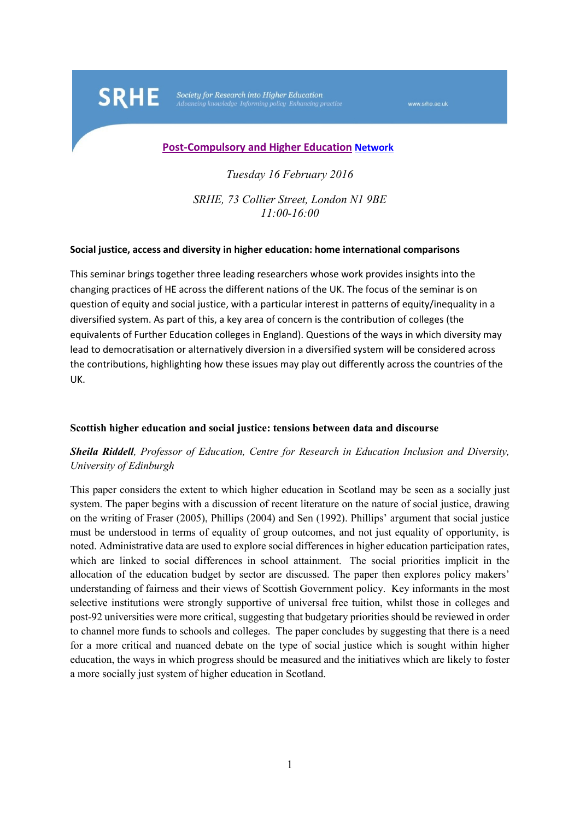Society for Research into Higher Education

**SRHE** 

www.srhe.ac.uk

#### **[Post-Compulsory and Higher Education](http://www.srhe.ac.uk/networks/post-compulsory_and_higher_education.asp) Network**

*Tuesday 16 February 2016*

*SRHE, 73 Collier Street, London N1 9BE 11:00-16:00*

#### **Social justice, access and diversity in higher education: home international comparisons**

This seminar brings together three leading researchers whose work provides insights into the changing practices of HE across the different nations of the UK. The focus of the seminar is on question of equity and social justice, with a particular interest in patterns of equity/inequality in a diversified system. As part of this, a key area of concern is the contribution of colleges (the equivalents of Further Education colleges in England). Questions of the ways in which diversity may lead to democratisation or alternatively diversion in a diversified system will be considered across the contributions, highlighting how these issues may play out differently across the countries of the UK.

### **Scottish higher education and social justice: tensions between data and discourse**

## *Sheila Riddell, Professor of Education, Centre for Research in Education Inclusion and Diversity, University of Edinburgh*

This paper considers the extent to which higher education in Scotland may be seen as a socially just system. The paper begins with a discussion of recent literature on the nature of social justice, drawing on the writing of Fraser (2005), Phillips (2004) and Sen (1992). Phillips' argument that social justice must be understood in terms of equality of group outcomes, and not just equality of opportunity, is noted. Administrative data are used to explore social differences in higher education participation rates, which are linked to social differences in school attainment. The social priorities implicit in the allocation of the education budget by sector are discussed. The paper then explores policy makers' understanding of fairness and their views of Scottish Government policy. Key informants in the most selective institutions were strongly supportive of universal free tuition, whilst those in colleges and post-92 universities were more critical, suggesting that budgetary priorities should be reviewed in order to channel more funds to schools and colleges. The paper concludes by suggesting that there is a need for a more critical and nuanced debate on the type of social justice which is sought within higher education, the ways in which progress should be measured and the initiatives which are likely to foster a more socially just system of higher education in Scotland.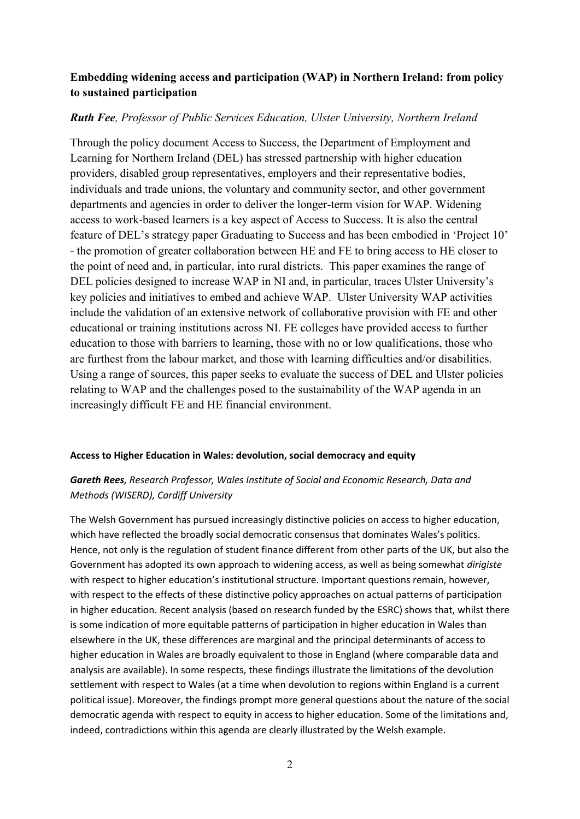# **Embedding widening access and participation (WAP) in Northern Ireland: from policy to sustained participation**

## *Ruth Fee, Professor of Public Services Education, Ulster University, Northern Ireland*

Through the policy document Access to Success, the Department of Employment and Learning for Northern Ireland (DEL) has stressed partnership with higher education providers, disabled group representatives, employers and their representative bodies, individuals and trade unions, the voluntary and community sector, and other government departments and agencies in order to deliver the longer-term vision for WAP. Widening access to work-based learners is a key aspect of Access to Success. It is also the central feature of DEL's strategy paper Graduating to Success and has been embodied in 'Project 10' - the promotion of greater collaboration between HE and FE to bring access to HE closer to the point of need and, in particular, into rural districts. This paper examines the range of DEL policies designed to increase WAP in NI and, in particular, traces Ulster University's key policies and initiatives to embed and achieve WAP. Ulster University WAP activities include the validation of an extensive network of collaborative provision with FE and other educational or training institutions across NI. FE colleges have provided access to further education to those with barriers to learning, those with no or low qualifications, those who are furthest from the labour market, and those with learning difficulties and/or disabilities. Using a range of sources, this paper seeks to evaluate the success of DEL and Ulster policies relating to WAP and the challenges posed to the sustainability of the WAP agenda in an increasingly difficult FE and HE financial environment.

#### **Access to Higher Education in Wales: devolution, social democracy and equity**

# *Gareth Rees, Research Professor, Wales Institute of Social and Economic Research, Data and Methods (WISERD), Cardiff University*

The Welsh Government has pursued increasingly distinctive policies on access to higher education, which have reflected the broadly social democratic consensus that dominates Wales's politics. Hence, not only is the regulation of student finance different from other parts of the UK, but also the Government has adopted its own approach to widening access, as well as being somewhat *dirigiste*  with respect to higher education's institutional structure. Important questions remain, however, with respect to the effects of these distinctive policy approaches on actual patterns of participation in higher education. Recent analysis (based on research funded by the ESRC) shows that, whilst there is some indication of more equitable patterns of participation in higher education in Wales than elsewhere in the UK, these differences are marginal and the principal determinants of access to higher education in Wales are broadly equivalent to those in England (where comparable data and analysis are available). In some respects, these findings illustrate the limitations of the devolution settlement with respect to Wales (at a time when devolution to regions within England is a current political issue). Moreover, the findings prompt more general questions about the nature of the social democratic agenda with respect to equity in access to higher education. Some of the limitations and, indeed, contradictions within this agenda are clearly illustrated by the Welsh example.